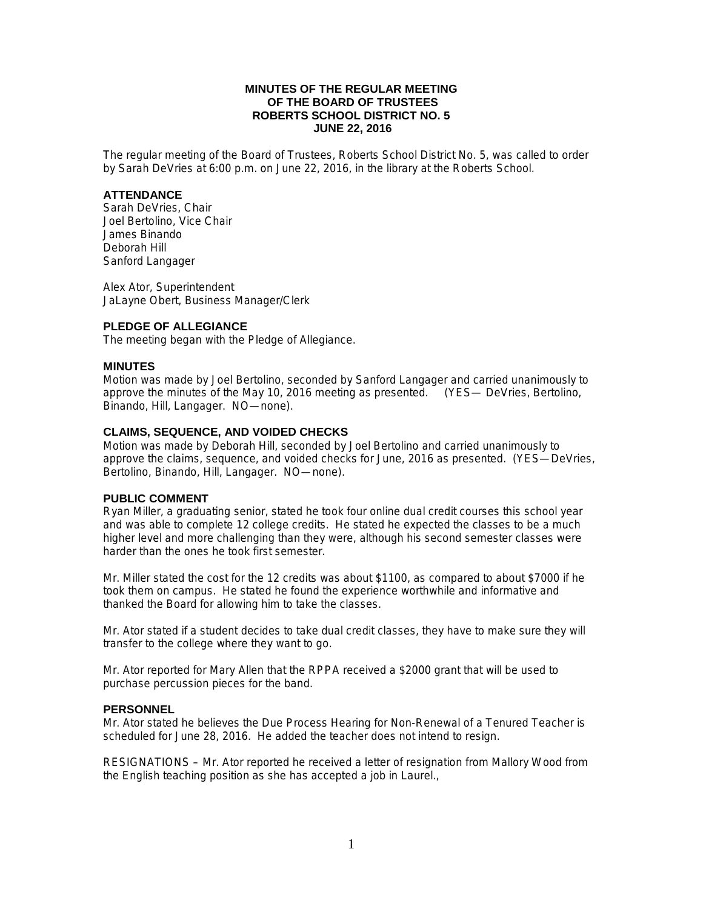### **MINUTES OF THE REGULAR MEETING OF THE BOARD OF TRUSTEES ROBERTS SCHOOL DISTRICT NO. 5 JUNE 22, 2016**

The regular meeting of the Board of Trustees, Roberts School District No. 5, was called to order by Sarah DeVries at 6:00 p.m. on June 22, 2016, in the library at the Roberts School.

### **ATTENDANCE**

Sarah DeVries, Chair Joel Bertolino, Vice Chair James Binando Deborah Hill Sanford Langager

Alex Ator, Superintendent JaLayne Obert, Business Manager/Clerk

### **PLEDGE OF ALLEGIANCE**

The meeting began with the Pledge of Allegiance.

### **MINUTES**

Motion was made by Joel Bertolino, seconded by Sanford Langager and carried unanimously to approve the minutes of the May 10, 2016 meeting as presented. (YES— DeVries, Bertolino, Binando, Hill, Langager. NO—none).

## **CLAIMS, SEQUENCE, AND VOIDED CHECKS**

Motion was made by Deborah Hill, seconded by Joel Bertolino and carried unanimously to approve the claims, sequence, and voided checks for June, 2016 as presented. (YES—DeVries, Bertolino, Binando, Hill, Langager. NO—none).

## **PUBLIC COMMENT**

Ryan Miller, a graduating senior, stated he took four online dual credit courses this school year and was able to complete 12 college credits. He stated he expected the classes to be a much higher level and more challenging than they were, although his second semester classes were harder than the ones he took first semester.

Mr. Miller stated the cost for the 12 credits was about \$1100, as compared to about \$7000 if he took them on campus. He stated he found the experience worthwhile and informative and thanked the Board for allowing him to take the classes.

Mr. Ator stated if a student decides to take dual credit classes, they have to make sure they will transfer to the college where they want to go.

Mr. Ator reported for Mary Allen that the RPPA received a \$2000 grant that will be used to purchase percussion pieces for the band.

#### **PERSONNEL**

Mr. Ator stated he believes the Due Process Hearing for Non-Renewal of a Tenured Teacher is scheduled for June 28, 2016. He added the teacher does not intend to resign.

RESIGNATIONS – Mr. Ator reported he received a letter of resignation from Mallory Wood from the English teaching position as she has accepted a job in Laurel.,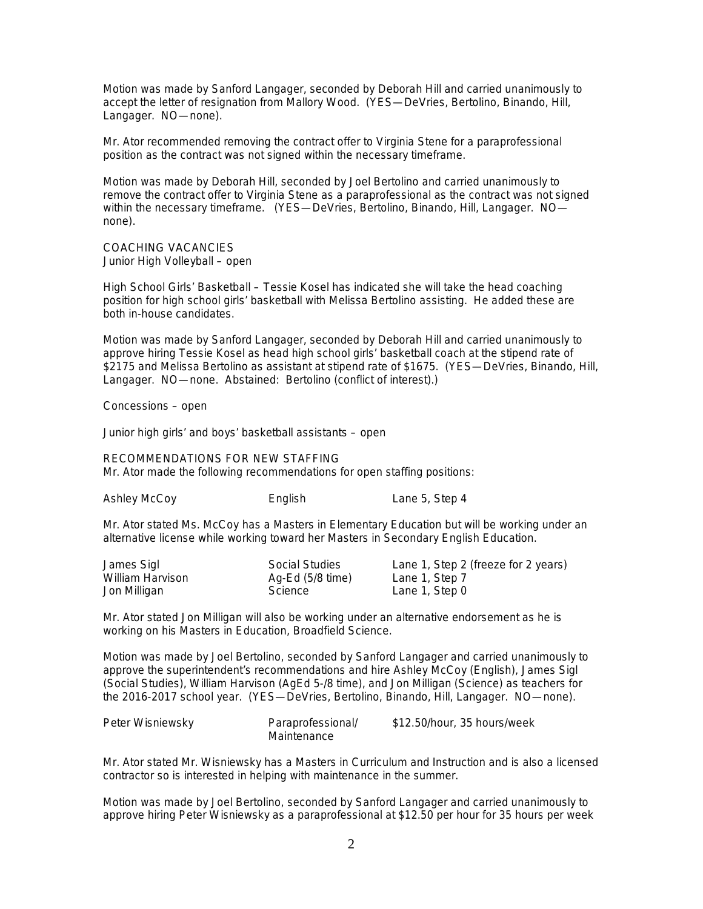Motion was made by Sanford Langager, seconded by Deborah Hill and carried unanimously to accept the letter of resignation from Mallory Wood. (YES—DeVries, Bertolino, Binando, Hill, Langager. NO—none).

Mr. Ator recommended removing the contract offer to Virginia Stene for a paraprofessional position as the contract was not signed within the necessary timeframe.

Motion was made by Deborah Hill, seconded by Joel Bertolino and carried unanimously to remove the contract offer to Virginia Stene as a paraprofessional as the contract was not signed within the necessary timeframe. (YES—DeVries, Bertolino, Binando, Hill, Langager. NO none).

COACHING VACANCIES Junior High Volleyball – open

High School Girls' Basketball – Tessie Kosel has indicated she will take the head coaching position for high school girls' basketball with Melissa Bertolino assisting. He added these are both in-house candidates.

Motion was made by Sanford Langager, seconded by Deborah Hill and carried unanimously to approve hiring Tessie Kosel as head high school girls' basketball coach at the stipend rate of \$2175 and Melissa Bertolino as assistant at stipend rate of \$1675. (YES—DeVries, Binando, Hill, Langager. NO—none. Abstained: Bertolino (conflict of interest).)

Concessions – open

Junior high girls' and boys' basketball assistants – open

RECOMMENDATIONS FOR NEW STAFFING

Mr. Ator made the following recommendations for open staffing positions:

| Ashley McCoy | English | Lane 5, Step 4 |
|--------------|---------|----------------|
|              |         |                |

Mr. Ator stated Ms. McCoy has a Masters in Elementary Education but will be working under an alternative license while working toward her Masters in Secondary English Education.

| James Sigl       | Social Studies   | Lane 1, Step 2 (freeze for 2 years) |
|------------------|------------------|-------------------------------------|
| William Harvison | Ag-Ed (5/8 time) | Lane 1, Step 7                      |
| Jon Milligan     | Science          | Lane 1, Step 0                      |

Mr. Ator stated Jon Milligan will also be working under an alternative endorsement as he is working on his Masters in Education, Broadfield Science.

Motion was made by Joel Bertolino, seconded by Sanford Langager and carried unanimously to approve the superintendent's recommendations and hire Ashley McCoy (English), James Sigl (Social Studies), William Harvison (AgEd 5-/8 time), and Jon Milligan (Science) as teachers for the 2016-2017 school year. (YES—DeVries, Bertolino, Binando, Hill, Langager. NO—none).

| Peter Wisniewsky | Paraprofessional/ | \$12.50/hour, 35 hours/week |
|------------------|-------------------|-----------------------------|
|                  | Maintenance       |                             |

Mr. Ator stated Mr. Wisniewsky has a Masters in Curriculum and Instruction and is also a licensed contractor so is interested in helping with maintenance in the summer.

Motion was made by Joel Bertolino, seconded by Sanford Langager and carried unanimously to approve hiring Peter Wisniewsky as a paraprofessional at \$12.50 per hour for 35 hours per week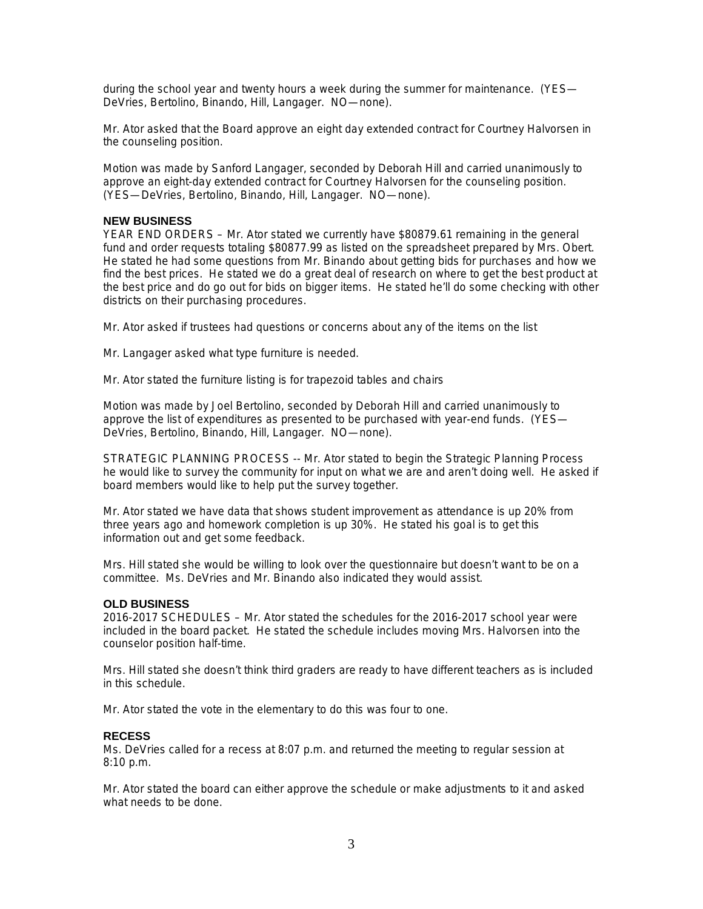during the school year and twenty hours a week during the summer for maintenance. (YES— DeVries, Bertolino, Binando, Hill, Langager. NO—none).

Mr. Ator asked that the Board approve an eight day extended contract for Courtney Halvorsen in the counseling position.

Motion was made by Sanford Langager, seconded by Deborah Hill and carried unanimously to approve an eight-day extended contract for Courtney Halvorsen for the counseling position. (YES—DeVries, Bertolino, Binando, Hill, Langager. NO—none).

### **NEW BUSINESS**

YEAR END ORDERS – Mr. Ator stated we currently have \$80879.61 remaining in the general fund and order requests totaling \$80877.99 as listed on the spreadsheet prepared by Mrs. Obert. He stated he had some questions from Mr. Binando about getting bids for purchases and how we find the best prices. He stated we do a great deal of research on where to get the best product at the best price and do go out for bids on bigger items. He stated he'll do some checking with other districts on their purchasing procedures.

Mr. Ator asked if trustees had questions or concerns about any of the items on the list

Mr. Langager asked what type furniture is needed.

Mr. Ator stated the furniture listing is for trapezoid tables and chairs

Motion was made by Joel Bertolino, seconded by Deborah Hill and carried unanimously to approve the list of expenditures as presented to be purchased with year-end funds. (YES— DeVries, Bertolino, Binando, Hill, Langager. NO—none).

STRATEGIC PLANNING PROCESS -- Mr. Ator stated to begin the Strategic Planning Process he would like to survey the community for input on what we are and aren't doing well. He asked if board members would like to help put the survey together.

Mr. Ator stated we have data that shows student improvement as attendance is up 20% from three years ago and homework completion is up 30%. He stated his goal is to get this information out and get some feedback.

Mrs. Hill stated she would be willing to look over the questionnaire but doesn't want to be on a committee. Ms. DeVries and Mr. Binando also indicated they would assist.

#### **OLD BUSINESS**

2016-2017 SCHEDULES – Mr. Ator stated the schedules for the 2016-2017 school year were included in the board packet. He stated the schedule includes moving Mrs. Halvorsen into the counselor position half-time.

Mrs. Hill stated she doesn't think third graders are ready to have different teachers as is included in this schedule.

Mr. Ator stated the vote in the elementary to do this was four to one.

#### **RECESS**

Ms. DeVries called for a recess at 8:07 p.m. and returned the meeting to regular session at 8:10 p.m.

Mr. Ator stated the board can either approve the schedule or make adjustments to it and asked what needs to be done.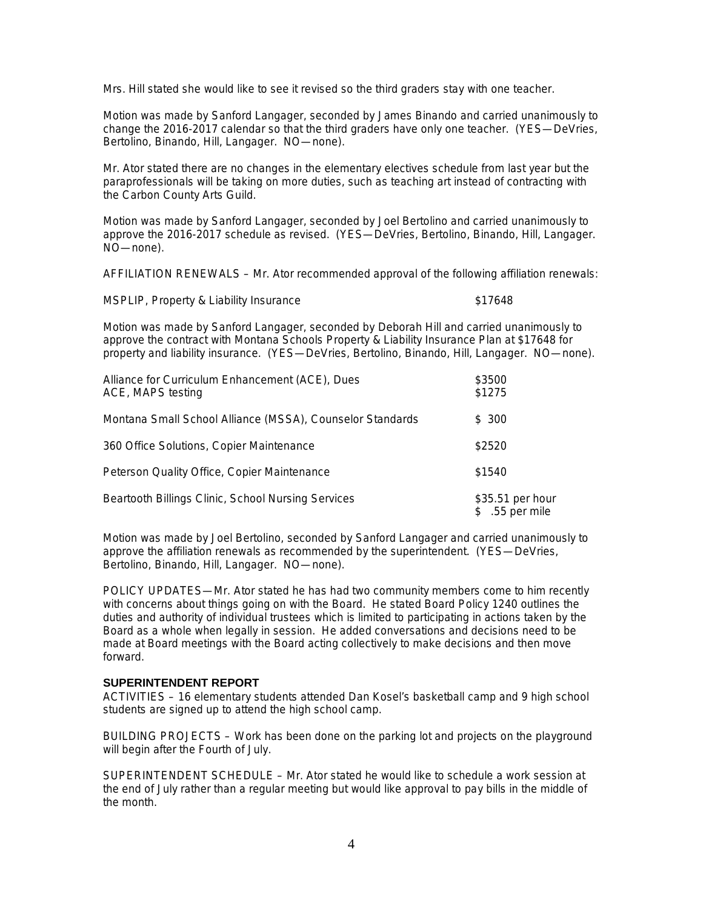Mrs. Hill stated she would like to see it revised so the third graders stay with one teacher.

Motion was made by Sanford Langager, seconded by James Binando and carried unanimously to change the 2016-2017 calendar so that the third graders have only one teacher. (YES—DeVries, Bertolino, Binando, Hill, Langager. NO—none).

Mr. Ator stated there are no changes in the elementary electives schedule from last year but the paraprofessionals will be taking on more duties, such as teaching art instead of contracting with the Carbon County Arts Guild.

Motion was made by Sanford Langager, seconded by Joel Bertolino and carried unanimously to approve the 2016-2017 schedule as revised. (YES—DeVries, Bertolino, Binando, Hill, Langager. NO—none).

AFFILIATION RENEWALS – Mr. Ator recommended approval of the following affiliation renewals:

| MSPLIP, Property & Liability Insurance | \$17648 |
|----------------------------------------|---------|
|----------------------------------------|---------|

Motion was made by Sanford Langager, seconded by Deborah Hill and carried unanimously to approve the contract with Montana Schools Property & Liability Insurance Plan at \$17648 for property and liability insurance. (YES—DeVries, Bertolino, Binando, Hill, Langager. NO—none).

| Alliance for Curriculum Enhancement (ACE), Dues<br>ACE, MAPS testing | \$3500<br>\$1275                    |
|----------------------------------------------------------------------|-------------------------------------|
| Montana Small School Alliance (MSSA), Counselor Standards            | \$300                               |
| 360 Office Solutions, Copier Maintenance                             | \$2520                              |
| Peterson Quality Office, Copier Maintenance                          | \$1540                              |
| Beartooth Billings Clinic, School Nursing Services                   | \$35.51 per hour<br>\$ .55 per mile |

Motion was made by Joel Bertolino, seconded by Sanford Langager and carried unanimously to approve the affiliation renewals as recommended by the superintendent. (YES—DeVries, Bertolino, Binando, Hill, Langager. NO—none).

POLICY UPDATES—Mr. Ator stated he has had two community members come to him recently with concerns about things going on with the Board. He stated Board Policy 1240 outlines the duties and authority of individual trustees which is limited to participating in actions taken by the Board as a whole when legally in session. He added conversations and decisions need to be made at Board meetings with the Board acting collectively to make decisions and then move forward.

## **SUPERINTENDENT REPORT**

ACTIVITIES – 16 elementary students attended Dan Kosel's basketball camp and 9 high school students are signed up to attend the high school camp.

BUILDING PROJECTS – Work has been done on the parking lot and projects on the playground will begin after the Fourth of July.

SUPERINTENDENT SCHEDULE – Mr. Ator stated he would like to schedule a work session at the end of July rather than a regular meeting but would like approval to pay bills in the middle of the month.